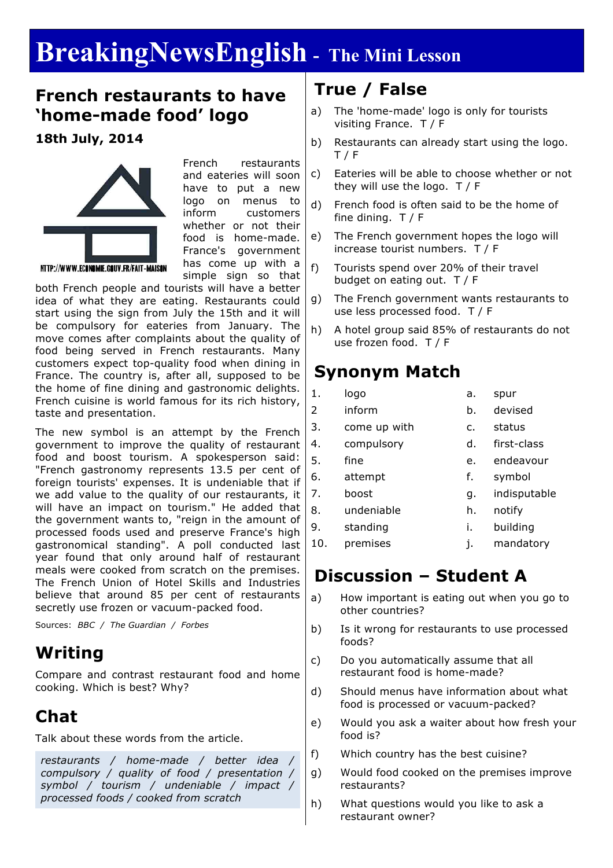# **BreakingNewsEnglish - The Mini Lesson**

### **French restaurants to have 'home-made food' logo**

### **18th July, 2014**



French restaurants and eateries will soon have to put a new logo on menus to inform customers whether or not their food is home-made. France's government has come up with a simple sign so that

both French people and tourists will have a better idea of what they are eating. Restaurants could start using the sign from July the 15th and it will be compulsory for eateries from January. The move comes after complaints about the quality of food being served in French restaurants. Many customers expect top-quality food when dining in France. The country is, after all, supposed to be the home of fine dining and gastronomic delights. French cuisine is world famous for its rich history, taste and presentation.

The new symbol is an attempt by the French government to improve the quality of restaurant food and boost tourism. A spokesperson said: "French gastronomy represents 13.5 per cent of foreign tourists' expenses. It is undeniable that if we add value to the quality of our restaurants, it will have an impact on tourism." He added that the government wants to, "reign in the amount of processed foods used and preserve France's high gastronomical standing". A poll conducted last year found that only around half of restaurant meals were cooked from scratch on the premises. The French Union of Hotel Skills and Industries believe that around 85 per cent of restaurants secretly use frozen or vacuum-packed food.

Sources: *BBC / The Guardian / Forbes*

# **Writing**

Compare and contrast restaurant food and home cooking. Which is best? Why?

# **Chat**

Talk about these words from the article.

*restaurants / home-made / better idea / compulsory / quality of food / presentation / symbol / tourism / undeniable / impact / processed foods / cooked from scratch*

## **True / False**

- a) The 'home-made' logo is only for tourists visiting France. T / F
- b) Restaurants can already start using the logo.  $T / F$
- c) Eateries will be able to choose whether or not they will use the logo. T / F
- d) French food is often said to be the home of fine dining. T / F
- e) The French government hopes the logo will increase tourist numbers. T / F
- f) Tourists spend over 20% of their travel budget on eating out. T / F
- g) The French government wants restaurants to use less processed food. T / F
- h) A hotel group said 85% of restaurants do not use frozen food. T / F

### **Synonym Match**

- 1. logo a. spur 2 inform b. devised
- 3. come up with c. status
- 4. compulsory d. first-class
- 5. fine e. endeavour 6. attempt f. symbol
- 7. boost a. indisputable
- 8. undeniable h. notify
- 9. standing i. building
	-
- 10. premises j. mandatory

# **Discussion – Student A**

- a) How important is eating out when you go to other countries?
- b) Is it wrong for restaurants to use processed foods?
- c) Do you automatically assume that all restaurant food is home-made?
- d) Should menus have information about what food is processed or vacuum-packed?
- e) Would you ask a waiter about how fresh your food is?
- f) Which country has the best cuisine?
- g) Would food cooked on the premises improve restaurants?
- h) What questions would you like to ask a restaurant owner?